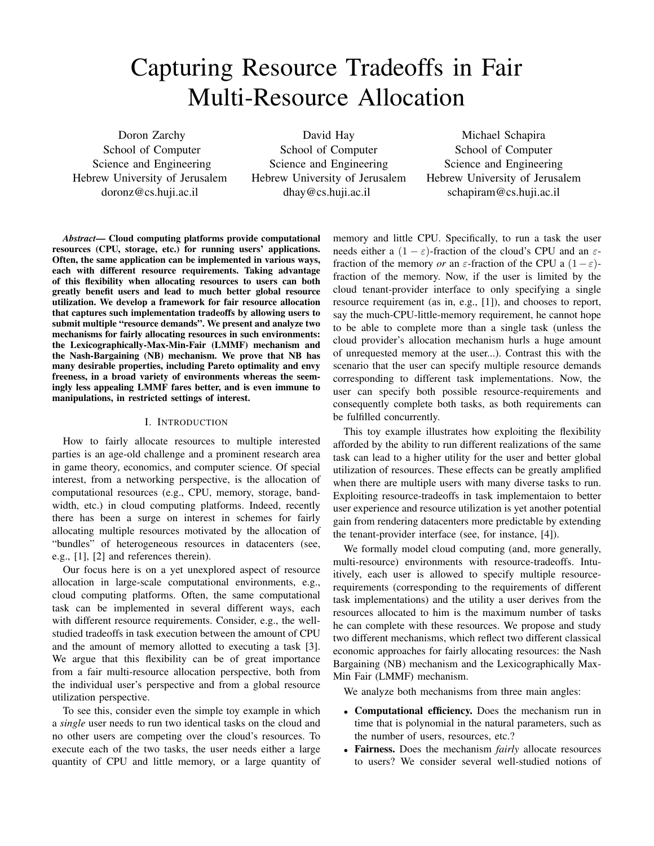# Capturing Resource Tradeoffs in Fair Multi-Resource Allocation

Doron Zarchy School of Computer Science and Engineering Hebrew University of Jerusalem doronz@cs.huji.ac.il

David Hay School of Computer Science and Engineering Hebrew University of Jerusalem dhay@cs.huji.ac.il

Michael Schapira School of Computer Science and Engineering Hebrew University of Jerusalem schapiram@cs.huji.ac.il

*Abstract*— Cloud computing platforms provide computational resources (CPU, storage, etc.) for running users' applications. Often, the same application can be implemented in various ways, each with different resource requirements. Taking advantage of this flexibility when allocating resources to users can both greatly benefit users and lead to much better global resource utilization. We develop a framework for fair resource allocation that captures such implementation tradeoffs by allowing users to submit multiple "resource demands". We present and analyze two mechanisms for fairly allocating resources in such environments: the Lexicographically-Max-Min-Fair (LMMF) mechanism and the Nash-Bargaining (NB) mechanism. We prove that NB has many desirable properties, including Pareto optimality and envy freeness, in a broad variety of environments whereas the seemingly less appealing LMMF fares better, and is even immune to manipulations, in restricted settings of interest.

#### I. INTRODUCTION

How to fairly allocate resources to multiple interested parties is an age-old challenge and a prominent research area in game theory, economics, and computer science. Of special interest, from a networking perspective, is the allocation of computational resources (e.g., CPU, memory, storage, bandwidth, etc.) in cloud computing platforms. Indeed, recently there has been a surge on interest in schemes for fairly allocating multiple resources motivated by the allocation of "bundles" of heterogeneous resources in datacenters (see, e.g., [1], [2] and references therein).

Our focus here is on a yet unexplored aspect of resource allocation in large-scale computational environments, e.g., cloud computing platforms. Often, the same computational task can be implemented in several different ways, each with different resource requirements. Consider, e.g., the wellstudied tradeoffs in task execution between the amount of CPU and the amount of memory allotted to executing a task [3]. We argue that this flexibility can be of great importance from a fair multi-resource allocation perspective, both from the individual user's perspective and from a global resource utilization perspective.

To see this, consider even the simple toy example in which a *single* user needs to run two identical tasks on the cloud and no other users are competing over the cloud's resources. To execute each of the two tasks, the user needs either a large quantity of CPU and little memory, or a large quantity of memory and little CPU. Specifically, to run a task the user needs either a  $(1 - \varepsilon)$ -fraction of the cloud's CPU and an  $\varepsilon$ fraction of the memory *or* an  $\varepsilon$ -fraction of the CPU a  $(1-\varepsilon)$ fraction of the memory. Now, if the user is limited by the cloud tenant-provider interface to only specifying a single resource requirement (as in, e.g., [1]), and chooses to report, say the much-CPU-little-memory requirement, he cannot hope to be able to complete more than a single task (unless the cloud provider's allocation mechanism hurls a huge amount of unrequested memory at the user...). Contrast this with the scenario that the user can specify multiple resource demands corresponding to different task implementations. Now, the user can specify both possible resource-requirements and consequently complete both tasks, as both requirements can be fulfilled concurrently.

This toy example illustrates how exploiting the flexibility afforded by the ability to run different realizations of the same task can lead to a higher utility for the user and better global utilization of resources. These effects can be greatly amplified when there are multiple users with many diverse tasks to run. Exploiting resource-tradeoffs in task implementaion to better user experience and resource utilization is yet another potential gain from rendering datacenters more predictable by extending the tenant-provider interface (see, for instance, [4]).

We formally model cloud computing (and, more generally, multi-resource) environments with resource-tradeoffs. Intuitively, each user is allowed to specify multiple resourcerequirements (corresponding to the requirements of different task implementations) and the utility a user derives from the resources allocated to him is the maximum number of tasks he can complete with these resources. We propose and study two different mechanisms, which reflect two different classical economic approaches for fairly allocating resources: the Nash Bargaining (NB) mechanism and the Lexicographically Max-Min Fair (LMMF) mechanism.

We analyze both mechanisms from three main angles:

- Computational efficiency. Does the mechanism run in time that is polynomial in the natural parameters, such as the number of users, resources, etc.?
- Fairness. Does the mechanism *fairly* allocate resources to users? We consider several well-studied notions of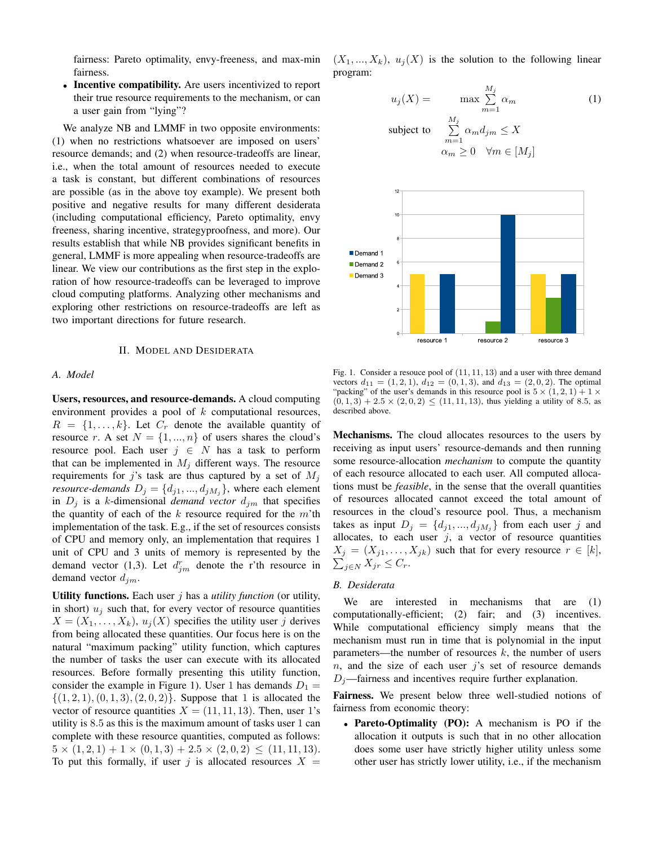fairness: Pareto optimality, envy-freeness, and max-min fairness.

• Incentive compatibility. Are users incentivized to report their true resource requirements to the mechanism, or can a user gain from "lying"?

We analyze NB and LMMF in two opposite environments: (1) when no restrictions whatsoever are imposed on users' resource demands; and (2) when resource-tradeoffs are linear, i.e., when the total amount of resources needed to execute a task is constant, but different combinations of resources are possible (as in the above toy example). We present both positive and negative results for many different desiderata (including computational efficiency, Pareto optimality, envy freeness, sharing incentive, strategyproofness, and more). Our results establish that while NB provides significant benefits in general, LMMF is more appealing when resource-tradeoffs are linear. We view our contributions as the first step in the exploration of how resource-tradeoffs can be leveraged to improve cloud computing platforms. Analyzing other mechanisms and exploring other restrictions on resource-tradeoffs are left as two important directions for future research.

## II. MODEL AND DESIDERATA

#### *A. Model*

Users, resources, and resource-demands. A cloud computing environment provides a pool of  $k$  computational resources,  $R = \{1, \ldots, k\}$ . Let  $C_r$  denote the available quantity of resource r. A set  $N = \{1, ..., n\}$  of users shares the cloud's resource pool. Each user  $j \in N$  has a task to perform that can be implemented in  $M_j$  different ways. The resource requirements for j's task are thus captured by a set of  $M_i$ *resource-demands*  $D_j = \{d_{j1},...,d_{jM_j}\}$ , where each element in  $D_j$  is a k-dimensional *demand vector*  $d_{jm}$  that specifies the quantity of each of the  $k$  resource required for the  $m$ 'th implementation of the task. E.g., if the set of resources consists of CPU and memory only, an implementation that requires 1 unit of CPU and 3 units of memory is represented by the demand vector (1,3). Let  $d_{jm}^r$  denote the r'th resource in demand vector  $d_{im}$ .

Utility functions. Each user j has a *utility function* (or utility, in short)  $u_i$  such that, for every vector of resource quantities  $X = (X_1, \ldots, X_k), u_j(X)$  specifies the utility user j derives from being allocated these quantities. Our focus here is on the natural "maximum packing" utility function, which captures the number of tasks the user can execute with its allocated resources. Before formally presenting this utility function, consider the example in Figure 1). User 1 has demands  $D_1 =$  $\{(1, 2, 1), (0, 1, 3), (2, 0, 2)\}.$  Suppose that 1 is allocated the vector of resource quantities  $X = (11, 11, 13)$ . Then, user 1's utility is 8.5 as this is the maximum amount of tasks user 1 can complete with these resource quantities, computed as follows:  $5 \times (1, 2, 1) + 1 \times (0, 1, 3) + 2.5 \times (2, 0, 2) \leq (11, 11, 13).$ To put this formally, if user j is allocated resources  $X =$   $(X_1, ..., X_k)$ ,  $u_i(X)$  is the solution to the following linear program:

$$
u_j(X) = \max_{m=1}^{M_j} \sum_{m=1}^{M_j} \alpha_m
$$
  
subject to 
$$
\sum_{m=1}^{M_j} \alpha_m d_{jm} \le X
$$

$$
\alpha_m \ge 0 \quad \forall m \in [M_j]
$$



Fig. 1. Consider a resouce pool of (11, 11, 13) and a user with three demand vectors  $d_{11} = (1, 2, 1), d_{12} = (0, 1, 3),$  and  $d_{13} = (2, 0, 2)$ . The optimal "packing" of the user's demands in this resource pool is  $5 \times (1, 2, 1) + 1 \times$  $(0, 1, 3) + 2.5 \times (2, 0, 2) \le (11, 11, 13)$ , thus yielding a utility of 8.5, as described above.

Mechanisms. The cloud allocates resources to the users by receiving as input users' resource-demands and then running some resource-allocation *mechanism* to compute the quantity of each resource allocated to each user. All computed allocations must be *feasible*, in the sense that the overall quantities of resources allocated cannot exceed the total amount of resources in the cloud's resource pool. Thus, a mechanism takes as input  $D_j = \{d_{j1},...,d_{jM_j}\}\$  from each user j and allocates, to each user  $j$ , a vector of resource quantities  $X_j = (X_{j1}, \ldots, X_{jk})$  such that for every resource  $r \in [k]$ ,  $\sum_{j\in N} X_{jr} \leq C_r.$ 

#### *B. Desiderata*

We are interested in mechanisms that are (1) computationally-efficient; (2) fair; and (3) incentives. While computational efficiency simply means that the mechanism must run in time that is polynomial in the input parameters—the number of resources  $k$ , the number of users  $n$ , and the size of each user j's set of resource demands  $D_i$ —fairness and incentives require further explanation.

Fairness. We present below three well-studied notions of fairness from economic theory:

• Pareto-Optimality (PO): A mechanism is PO if the allocation it outputs is such that in no other allocation does some user have strictly higher utility unless some other user has strictly lower utility, i.e., if the mechanism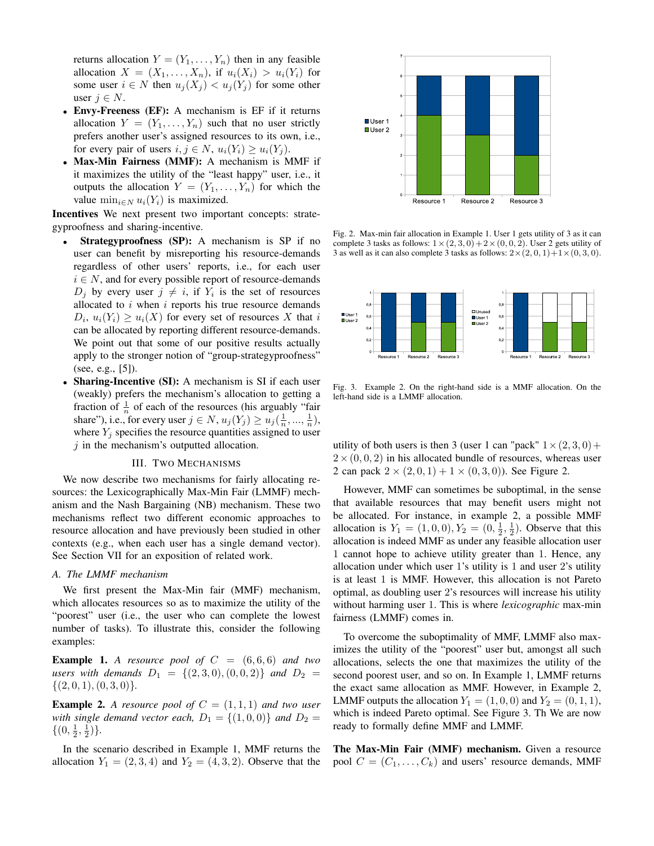returns allocation  $Y = (Y_1, \ldots, Y_n)$  then in any feasible allocation  $X = (X_1, \ldots, X_n)$ , if  $u_i(X_i) > u_i(Y_i)$  for some user  $i \in N$  then  $u_i(X_i) < u_i(Y_i)$  for some other user  $i \in N$ .

- Envy-Freeness (EF): A mechanism is EF if it returns allocation  $Y = (Y_1, \ldots, Y_n)$  such that no user strictly prefers another user's assigned resources to its own, i.e., for every pair of users  $i, j \in N$ ,  $u_i(Y_i) > u_i(Y_i)$ .
- Max-Min Fairness (MMF): A mechanism is MMF if it maximizes the utility of the "least happy" user, i.e., it outputs the allocation  $Y = (Y_1, \ldots, Y_n)$  for which the value  $\min_{i \in N} u_i(Y_i)$  is maximized.

Incentives We next present two important concepts: strategyproofness and sharing-incentive.

- Strategyproofness (SP): A mechanism is SP if no user can benefit by misreporting his resource-demands regardless of other users' reports, i.e., for each user  $i \in N$ , and for every possible report of resource-demands  $D_j$  by every user  $j \neq i$ , if  $Y_i$  is the set of resources allocated to  $i$  when  $i$  reports his true resource demands  $D_i$ ,  $u_i(Y_i) \geq u_i(X)$  for every set of resources X that i can be allocated by reporting different resource-demands. We point out that some of our positive results actually apply to the stronger notion of "group-strategyproofness" (see, e.g., [5]).
- Sharing-Incentive (SI): A mechanism is SI if each user (weakly) prefers the mechanism's allocation to getting a fraction of  $\frac{1}{n}$  of each of the resources (his arguably "fair share"), i.e., for every user  $j \in N$ ,  $u_j(Y_j) \ge u_j(\frac{1}{n}, ..., \frac{1}{n})$ , where  $Y_j$  specifies the resource quantities assigned to user  $j$  in the mechanism's outputted allocation.

#### III. TWO MECHANISMS

We now describe two mechanisms for fairly allocating resources: the Lexicographically Max-Min Fair (LMMF) mechanism and the Nash Bargaining (NB) mechanism. These two mechanisms reflect two different economic approaches to resource allocation and have previously been studied in other contexts (e.g., when each user has a single demand vector). See Section VII for an exposition of related work.

## *A. The LMMF mechanism*

We first present the Max-Min fair (MMF) mechanism, which allocates resources so as to maximize the utility of the "poorest" user (i.e., the user who can complete the lowest number of tasks). To illustrate this, consider the following examples:

**Example 1.** A resource pool of  $C = (6, 6, 6)$  and two *users with demands*  $D_1 = \{(2,3,0), (0,0,2)\}$  *and*  $D_2 =$  $\{(2, 0, 1), (0, 3, 0)\}.$ 

**Example 2.** A resource pool of  $C = (1, 1, 1)$  and two user *with single demand vector each,*  $D_1 = \{(1,0,0)\}$  *and*  $D_2 =$  $\{(0, \frac{1}{2}, \frac{1}{2})\}.$ 

In the scenario described in Example 1, MMF returns the allocation  $Y_1 = (2, 3, 4)$  and  $Y_2 = (4, 3, 2)$ . Observe that the



Fig. 2. Max-min fair allocation in Example 1. User 1 gets utility of 3 as it can complete 3 tasks as follows:  $1 \times (2, 3, 0) + 2 \times (0, 0, 2)$ . User 2 gets utility of 3 as well as it can also complete 3 tasks as follows:  $2 \times (2, 0, 1) + 1 \times (0, 3, 0)$ .



Fig. 3. Example 2. On the right-hand side is a MMF allocation. On the left-hand side is a LMMF allocation.

utility of both users is then 3 (user 1 can "pack"  $1 \times (2, 3, 0)$  +  $2\times(0, 0, 2)$  in his allocated bundle of resources, whereas user 2 can pack  $2 \times (2, 0, 1) + 1 \times (0, 3, 0)$ ). See Figure 2.

However, MMF can sometimes be suboptimal, in the sense that available resources that may benefit users might not be allocated. For instance, in example 2, a possible MMF allocation is  $Y_1 = (1, 0, 0), Y_2 = (0, \frac{1}{2}, \frac{1}{2})$ . Observe that this allocation is indeed MMF as under any feasible allocation user 1 cannot hope to achieve utility greater than 1. Hence, any allocation under which user 1's utility is 1 and user 2's utility is at least 1 is MMF. However, this allocation is not Pareto optimal, as doubling user 2's resources will increase his utility without harming user 1. This is where *lexicographic* max-min fairness (LMMF) comes in.

To overcome the suboptimality of MMF, LMMF also maximizes the utility of the "poorest" user but, amongst all such allocations, selects the one that maximizes the utility of the second poorest user, and so on. In Example 1, LMMF returns the exact same allocation as MMF. However, in Example 2, LMMF outputs the allocation  $Y_1 = (1, 0, 0)$  and  $Y_2 = (0, 1, 1)$ , which is indeed Pareto optimal. See Figure 3. Th We are now ready to formally define MMF and LMMF.

The Max-Min Fair (MMF) mechanism. Given a resource pool  $C = (C_1, \ldots, C_k)$  and users' resource demands, MMF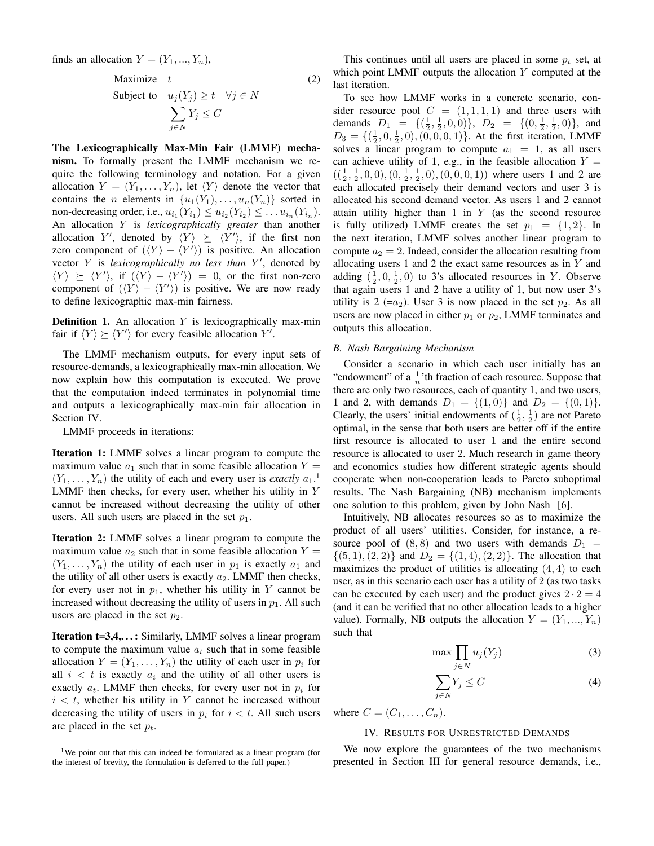finds an allocation  $Y = (Y_1, ..., Y_n)$ ,

$$
\begin{array}{ll}\n\text{Maximize} & t & \text{(2)} \\
\text{Subject to} & u_j(Y_j) \ge t \quad \forall j \in N \\
& \sum_{j \in N} Y_j \le C\n\end{array}
$$

The Lexicographically Max-Min Fair (LMMF) mechanism. To formally present the LMMF mechanism we require the following terminology and notation. For a given allocation  $Y = (Y_1, \ldots, Y_n)$ , let  $\langle Y \rangle$  denote the vector that contains the *n* elements in  $\{u_1(Y_1), \ldots, u_n(Y_n)\}$  sorted in non-decreasing order, i.e.,  $u_{i_1}(Y_{i_1}) \leq u_{i_2}(Y_{i_2}) \leq \ldots u_{i_n}(Y_{i_n})$ . An allocation Y is *lexicographically greater* than another allocation Y', denoted by  $\langle Y \rangle \succeq \langle Y' \rangle$ , if the first non zero component of  $(\langle Y \rangle - \langle Y' \rangle)$  is positive. An allocation vector Y is lexicographically no less than Y', denoted by  $\langle Y \rangle \succeq \langle Y' \rangle$ , if  $(\langle Y \rangle - \langle Y' \rangle) = 0$ , or the first non-zero component of  $(\langle Y \rangle - \langle Y' \rangle)$  is positive. We are now ready to define lexicographic max-min fairness.

**Definition 1.** An allocation  $Y$  is lexicographically max-min fair if  $\langle Y \rangle \succeq \langle Y' \rangle$  for every feasible allocation Y'.

The LMMF mechanism outputs, for every input sets of resource-demands, a lexicographically max-min allocation. We now explain how this computation is executed. We prove that the computation indeed terminates in polynomial time and outputs a lexicographically max-min fair allocation in Section IV.

LMMF proceeds in iterations:

Iteration 1: LMMF solves a linear program to compute the maximum value  $a_1$  such that in some feasible allocation  $Y =$  $(Y_1, \ldots, Y_n)$  the utility of each and every user is *exactly*  $a_1$ <sup>1</sup>. LMMF then checks, for every user, whether his utility in Y cannot be increased without decreasing the utility of other users. All such users are placed in the set  $p_1$ .

Iteration 2: LMMF solves a linear program to compute the maximum value  $a_2$  such that in some feasible allocation  $Y =$  $(Y_1, \ldots, Y_n)$  the utility of each user in  $p_1$  is exactly  $a_1$  and the utility of all other users is exactly  $a_2$ . LMMF then checks, for every user not in  $p_1$ , whether his utility in Y cannot be increased without decreasing the utility of users in  $p_1$ . All such users are placed in the set  $p_2$ .

**Iteration t=3,4,...:** Similarly, LMMF solves a linear program to compute the maximum value  $a_t$  such that in some feasible allocation  $Y = (Y_1, \ldots, Y_n)$  the utility of each user in  $p_i$  for all  $i < t$  is exactly  $a_i$  and the utility of all other users is exactly  $a_t$ . LMMF then checks, for every user not in  $p_i$  for  $i < t$ , whether his utility in Y cannot be increased without decreasing the utility of users in  $p_i$  for  $i < t$ . All such users are placed in the set  $p_t$ .

This continues until all users are placed in some  $p_t$  set, at which point LMMF outputs the allocation Y computed at the last iteration.

To see how LMMF works in a concrete scenario, consider resource pool  $C = (1, 1, 1, 1)$  and three users with demands  $D_1 = \{(\frac{1}{2}, \frac{1}{2}, 0, 0)\}, D_2 = \{(0, \frac{1}{2}, \frac{1}{2}, 0)\}, \text{ and}$  $D_3 = \{(\frac{1}{2}, 0, \frac{1}{2}, 0), (0, 0, 0, 1)\}.$  At the first iteration, LMMF solves a linear program to compute  $a_1 = 1$ , as all users can achieve utility of 1, e.g., in the feasible allocation  $Y =$  $((\frac{1}{2}, \frac{1}{2}, 0, 0), (0, \frac{1}{2}, \frac{1}{2}, 0), (0, 0, 0, 1))$  where users 1 and 2 are each allocated precisely their demand vectors and user 3 is allocated his second demand vector. As users 1 and 2 cannot attain utility higher than  $1$  in  $Y$  (as the second resource is fully utilized) LMMF creates the set  $p_1 = \{1, 2\}$ . In the next iteration, LMMF solves another linear program to compute  $a_2 = 2$ . Indeed, consider the allocation resulting from allocating users 1 and 2 the exact same resources as in  $Y$  and adding  $(\frac{1}{2}, 0, \frac{1}{2}, 0)$  to 3's allocated resources in Y. Observe that again users 1 and 2 have a utility of 1, but now user 3's utility is 2 (= $a_2$ ). User 3 is now placed in the set  $p_2$ . As all users are now placed in either  $p_1$  or  $p_2$ , LMMF terminates and outputs this allocation.

#### *B. Nash Bargaining Mechanism*

Consider a scenario in which each user initially has an "endowment" of a  $\frac{1}{n}$ " th fraction of each resource. Suppose that there are only two resources, each of quantity 1, and two users, 1 and 2, with demands  $D_1 = \{(1,0)\}\$ and  $D_2 = \{(0,1)\}\$ . Clearly, the users' initial endowments of  $(\frac{1}{2}, \frac{1}{2})$  are not Pareto optimal, in the sense that both users are better off if the entire first resource is allocated to user 1 and the entire second resource is allocated to user 2. Much research in game theory and economics studies how different strategic agents should cooperate when non-cooperation leads to Pareto suboptimal results. The Nash Bargaining (NB) mechanism implements one solution to this problem, given by John Nash [6].

Intuitively, NB allocates resources so as to maximize the product of all users' utilities. Consider, for instance, a resource pool of  $(8, 8)$  and two users with demands  $D_1 =$  $\{(5, 1), (2, 2)\}\$  and  $D_2 = \{(1, 4), (2, 2)\}\$ . The allocation that maximizes the product of utilities is allocating  $(4, 4)$  to each user, as in this scenario each user has a utility of 2 (as two tasks can be executed by each user) and the product gives  $2 \cdot 2 = 4$ (and it can be verified that no other allocation leads to a higher value). Formally, NB outputs the allocation  $Y = (Y_1, ..., Y_n)$ such that

$$
\max \prod_{j \in N} u_j(Y_j) \tag{3}
$$

$$
\sum_{j \in N} Y_j \le C \tag{4}
$$

where  $C = (C_1, \ldots, C_n)$ .

#### IV. RESULTS FOR UNRESTRICTED DEMANDS

We now explore the guarantees of the two mechanisms presented in Section III for general resource demands, i.e.,

<sup>&</sup>lt;sup>1</sup>We point out that this can indeed be formulated as a linear program (for the interest of brevity, the formulation is deferred to the full paper.)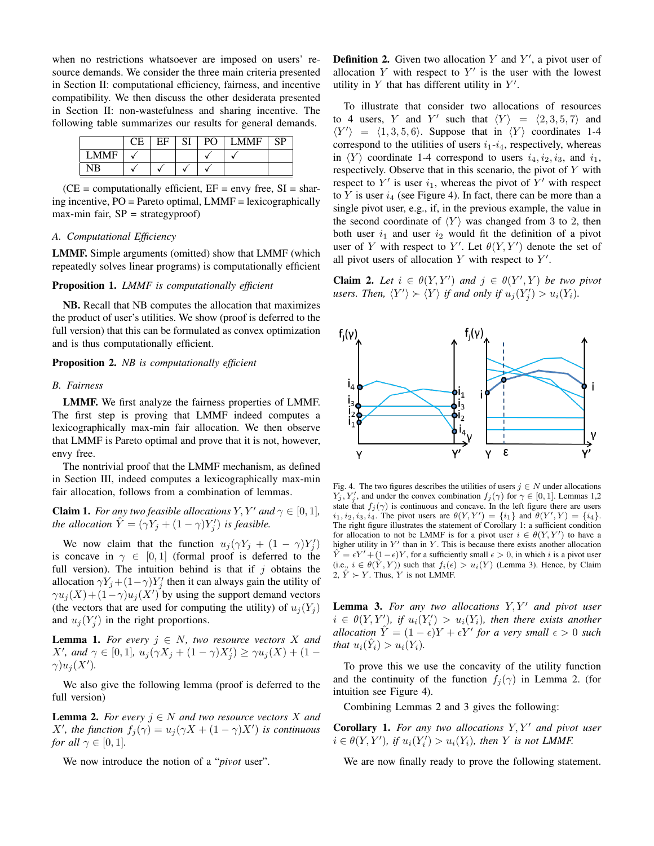when no restrictions whatsoever are imposed on users' resource demands. We consider the three main criteria presented in Section II: computational efficiency, fairness, and incentive compatibility. We then discuss the other desiderata presented in Section II: non-wastefulness and sharing incentive. The following table summarizes our results for general demands.

|             | ЕF | SI | PO - | <b>LMMF</b> | SP |
|-------------|----|----|------|-------------|----|
| <b>LMME</b> |    |    |      |             |    |
|             |    |    |      |             |    |

 $(CE = computationally efficient, EF = envy free, SI = shar$ ing incentive, PO = Pareto optimal, LMMF = lexicographically max-min fair,  $SP = \text{strategyproof}$ 

## *A. Computational Efficiency*

LMMF. Simple arguments (omitted) show that LMMF (which repeatedly solves linear programs) is computationally efficient

#### Proposition 1. *LMMF is computationally efficient*

NB. Recall that NB computes the allocation that maximizes the product of user's utilities. We show (proof is deferred to the full version) that this can be formulated as convex optimization and is thus computationally efficient.

## Proposition 2. *NB is computationally efficient*

#### *B. Fairness*

LMMF. We first analyze the fairness properties of LMMF. The first step is proving that LMMF indeed computes a lexicographically max-min fair allocation. We then observe that LMMF is Pareto optimal and prove that it is not, however, envy free.

The nontrivial proof that the LMMF mechanism, as defined in Section III, indeed computes a lexicographically max-min fair allocation, follows from a combination of lemmas.

**Claim 1.** *For any two feasible allocations*  $Y, Y'$  *and*  $\gamma \in [0, 1]$ *, the allocation*  $\hat{Y} = (\gamma Y_j + (1 - \gamma)Y'_j)$  *is feasible.* 

We now claim that the function  $u_j(\gamma Y_j + (1 - \gamma)Y_j')$ is concave in  $\gamma \in [0,1]$  (formal proof is deferred to the full version). The intuition behind is that if  $j$  obtains the allocation  $\gamma Y_j + (1 - \gamma)Y'_j$  then it can always gain the utility of  $\gamma u_j(X) + (1 - \gamma) u_j(X')$  by using the support demand vectors (the vectors that are used for computing the utility) of  $u_j(Y_j)$ and  $u_j(Y'_j)$  in the right proportions.

**Lemma 1.** For every  $j \in N$ , two resource vectors X and *X'*, and  $\gamma \in [0,1]$ ,  $u_j(\gamma X_j + (1 - \gamma)X'_j) \ge \gamma u_j(X) + (1 - \gamma)U''(t)$  $\gamma$ ) $u_j(X')$ .

We also give the following lemma (proof is deferred to the full version)

**Lemma 2.** *For every*  $j \in N$  *and two resource vectors* X *and X'*, the function  $f_j(\gamma) = u_j(\gamma X + (1 - \gamma)X')$  *is continuous for all*  $\gamma \in [0, 1]$ *.* 

We now introduce the notion of a "*pivot* user".

**Definition 2.** Given two allocation Y and Y', a pivot user of allocation Y with respect to  $Y'$  is the user with the lowest utility in  $Y$  that has different utility in  $Y'$ .

To illustrate that consider two allocations of resources to 4 users, Y and Y' such that  $\langle Y \rangle = \langle 2, 3, 5, 7 \rangle$  and  $\langle Y' \rangle$  =  $\langle 1, 3, 5, 6 \rangle$ . Suppose that in  $\langle Y \rangle$  coordinates 1-4 correspond to the utilities of users  $i_1-i_4$ , respectively, whereas in  $\langle Y \rangle$  coordinate 1-4 correspond to users  $i_4, i_2, i_3$ , and  $i_1$ , respectively. Observe that in this scenario, the pivot of  $Y$  with respect to  $Y'$  is user  $i_1$ , whereas the pivot of  $Y'$  with respect to Y is user  $i_4$  (see Figure 4). In fact, there can be more than a single pivot user, e.g., if, in the previous example, the value in the second coordinate of  $\langle Y \rangle$  was changed from 3 to 2, then both user  $i_1$  and user  $i_2$  would fit the definition of a pivot user of Y with respect to Y'. Let  $\theta(Y, Y')$  denote the set of all pivot users of allocation  $Y$  with respect to  $Y'$ .

**Claim 2.** Let  $i \in \theta(Y, Y')$  and  $j \in \theta(Y', Y)$  be two pivot users. Then,  $\langle Y' \rangle \succ \langle Y \rangle$  if and only if  $u_j(Y'_j) > u_i(Y_i)$ .



Fig. 4. The two figures describes the utilities of users  $j \in N$  under allocations  $Y_j, Y_j'$ , and under the convex combination  $f_j(\gamma)$  for  $\gamma \in [0, 1]$ . Lemmas 1,2 state that  $f_j(\gamma)$  is continuous and concave. In the left figure there are users  $i_1, i_2, i_3, i_4$ . The pivot users are  $\theta(Y, Y') = \{i_1\}$  and  $\theta(Y', Y) = \{i_4\}$ . The right figure illustrates the statement of Corollary 1: a sufficient condition for allocation to not be LMMF is for a pivot user  $i \in \theta(Y, Y')$  to have a higher utility in  $Y'$  than in Y. This is because there exists another allocation  $\hat{Y} = \epsilon Y' + (1 - \epsilon)Y$ , for a sufficiently small  $\epsilon > 0$ , in which i is a pivot user (i.e.,  $i \in \theta(\hat{Y}, Y)$ ) such that  $f_i(\epsilon) > u_i(Y)$  (Lemma 3). Hence, by Claim 2,  $\hat{Y} \succ Y$ . Thus, Y is not LMMF.

Lemma 3. For any two allocations  $Y, Y'$  and pivot user  $i \in \theta(Y, Y')$ , if  $u_i(Y_i') > u_i(Y_i)$ , then there exists another *allocation*  $\hat{Y} = (1 - \epsilon)Y + \epsilon Y'$  for a very small  $\epsilon > 0$  such *that*  $u_i(\hat{Y}_i) > u_i(Y_i)$ *.* 

To prove this we use the concavity of the utility function and the continuity of the function  $f_i(\gamma)$  in Lemma 2. (for intuition see Figure 4).

Combining Lemmas 2 and 3 gives the following:

**Corollary 1.** For any two allocations  $Y, Y'$  and pivot user  $i \in \theta(Y, Y')$ , if  $u_i(Y_i') > u_i(Y_i)$ , then Y is not LMMF.

We are now finally ready to prove the following statement.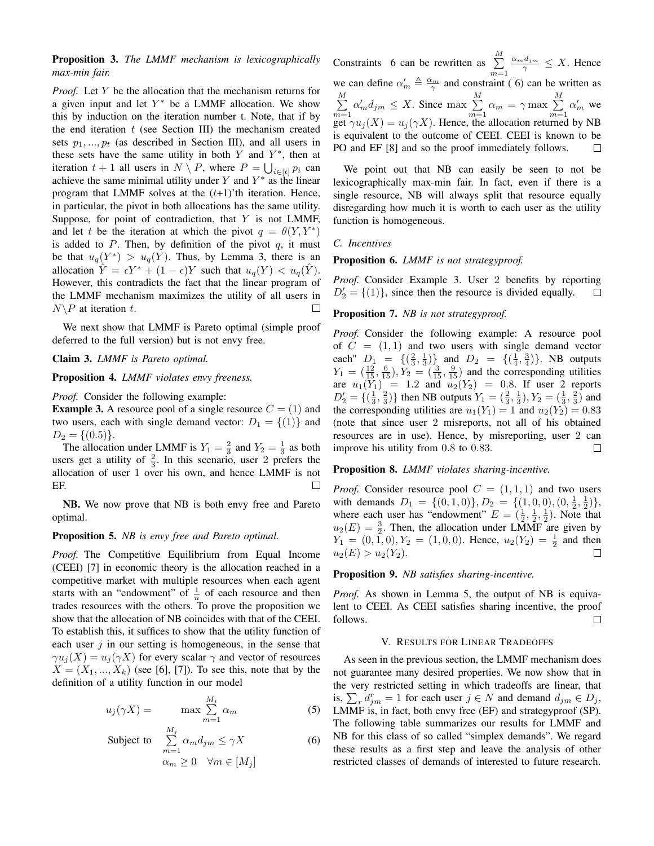# Proposition 3. *The LMMF mechanism is lexicographically max-min fair.*

*Proof.* Let Y be the allocation that the mechanism returns for a given input and let  $Y^*$  be a LMMF allocation. We show this by induction on the iteration number t. Note, that if by the end iteration  $t$  (see Section III) the mechanism created sets  $p_1, ..., p_t$  (as described in Section III), and all users in these sets have the same utility in both  $Y$  and  $Y^*$ , then at iteration  $t + 1$  all users in  $N \setminus P$ , where  $P = \bigcup_{i \in [t]} p_i$  can achieve the same minimal utility under Y and  $Y^*$  as the linear program that LMMF solves at the  $(t+1)$ 'th iteration. Hence, in particular, the pivot in both allocations has the same utility. Suppose, for point of contradiction, that  $Y$  is not LMMF, and let t be the iteration at which the pivot  $q = \theta(Y, Y^*)$ is added to  $P$ . Then, by definition of the pivot  $q$ , it must be that  $u_q(Y^*) > u_q(Y)$ . Thus, by Lemma 3, there is an allocation  $\hat{Y} = \epsilon Y^* + (1 - \epsilon)Y$  such that  $u_q(Y) < u_q(Y)$ . However, this contradicts the fact that the linear program of the LMMF mechanism maximizes the utility of all users in  $N\backslash P$  at iteration t.  $\Box$ 

We next show that LMMF is Pareto optimal (simple proof deferred to the full version) but is not envy free.

# Claim 3. *LMMF is Pareto optimal.*

Proposition 4. *LMMF violates envy freeness.*

*Proof.* Consider the following example:

**Example 3.** A resource pool of a single resource  $C = (1)$  and two users, each with single demand vector:  $D_1 = \{(1)\}\$ and  $D_2 = \{(0.5)\}.$ 

The allocation under LMMF is  $Y_1 = \frac{2}{3}$  and  $Y_2 = \frac{1}{3}$  as both users get a utility of  $\frac{2}{3}$ . In this scenario, user 2 prefers the allocation of user 1 over his own, and hence LMMF is not EF.  $\Box$ 

NB. We now prove that NB is both envy free and Pareto optimal.

#### Proposition 5. *NB is envy free and Pareto optimal.*

*Proof.* The Competitive Equilibrium from Equal Income (CEEI) [7] in economic theory is the allocation reached in a competitive market with multiple resources when each agent starts with an "endowment" of  $\frac{1}{n}$  of each resource and then trades resources with the others. To prove the proposition we show that the allocation of NB coincides with that of the CEEI. To establish this, it suffices to show that the utility function of each user  $j$  in our setting is homogeneous, in the sense that  $\gamma u_i(X) = u_i(\gamma X)$  for every scalar  $\gamma$  and vector of resources  $X = (X_1, \ldots, X_k)$  (see [6], [7]). To see this, note that by the definition of a utility function in our model

$$
u_j(\gamma X) = \max \sum_{m=1}^{M_j} \alpha_m \tag{5}
$$

Subject to 
$$
\sum_{m=1}^{M_j} \alpha_m d_{jm} \leq \gamma X
$$

$$
\alpha_m \geq 0 \quad \forall m \in [M_j]
$$
 (6)

Constraints 6 can be rewritten as  $\sum_{ }^{M}$  $\frac{\alpha_m d_{jm}}{\gamma} \leq X$ . Hence  $m=1$ we can define  $\alpha'_m \triangleq \frac{\alpha_m}{\gamma}$  and constraint (6) can be written as  $\sum_{m=1}^{M} \alpha'_m d_{jm} \leq X$ . Since max  $\sum_{m=1}^{M}$  $\sum_{ }^{M}$  $\sum_{m=1}^{M} \alpha_m = \gamma \max \sum_{m=1}^{M}$  $\sum_{m=1}^{\infty} \alpha'_m$  we get  $\gamma u_j(X) = u_j(\gamma X)$ . Hence, the allocation returned by NB is equivalent to the outcome of CEEI. CEEI is known to be PO and EF [8] and so the proof immediately follows.  $\Box$ 

We point out that NB can easily be seen to not be lexicographically max-min fair. In fact, even if there is a single resource, NB will always split that resource equally disregarding how much it is worth to each user as the utility function is homogeneous.

#### *C. Incentives*

#### Proposition 6. *LMMF is not strategyproof.*

*Proof.* Consider Example 3. User 2 benefits by reporting  $D_2' = \{(1)\}\text{, since then the resource is divided equally.}$  $\Box$ 

## Proposition 7. *NB is not strategyproof.*

*Proof.* Consider the following example: A resource pool of  $C = (1, 1)$  and two users with single demand vector each"  $D_1 = \{(\frac{2}{3}, \frac{1}{3})\}$  and  $D_2 = \{(\frac{1}{4}, \frac{3}{4})\}$ . NB outputs  $Y_1 = (\frac{12}{15}, \frac{6}{15}), Y_2 = (\frac{3}{15}, \frac{9}{15})$  and the corresponding utilities are  $u_1(Y_1) = 1.2$  and  $u_2(Y_2) = 0.8$ . If user 2 reports  $D_2' = \{(\frac{1}{3}, \frac{2}{3})\}$  then NB outputs  $Y_1 = (\frac{2}{3}, \frac{1}{3}), Y_2 = (\frac{1}{3}, \frac{2}{3})$  and the corresponding utilities are  $u_1(Y_1) = 1$  and  $u_2(Y_2) = 0.83$ (note that since user 2 misreports, not all of his obtained resources are in use). Hence, by misreporting, user 2 can improve his utility from 0.8 to 0.83.  $\Box$ 

## Proposition 8. *LMMF violates sharing-incentive.*

*Proof.* Consider resource pool  $C = (1, 1, 1)$  and two users with demands  $D_1 = \{(0,1,0)\}, D_2 = \{(1,0,0), (0,\frac{1}{2},\frac{1}{2})\},\$ where each user has "endowment"  $E = (\frac{1}{2}, \frac{1}{2}, \frac{1}{2})$ . Note that  $u_2(E) = \frac{3}{2}$ . Then, the allocation under LMMF are given by  $Y_1 = (0, \tilde{1}, 0), Y_2 = (1, 0, 0)$ . Hence,  $u_2(Y_2) = \frac{1}{2}$  and then  $u_2(E) > u_2(Y_2)$ .  $\Box$ 

# Proposition 9. *NB satisfies sharing-incentive.*

*Proof.* As shown in Lemma 5, the output of NB is equivalent to CEEI. As CEEI satisfies sharing incentive, the proof follows.  $\Box$ 

#### V. RESULTS FOR LINEAR TRADEOFFS

As seen in the previous section, the LMMF mechanism does not guarantee many desired properties. We now show that in the very restricted setting in which tradeoffs are linear, that is,  $\sum_{r} d_{jm}^r = 1$  for each user  $j \in N$  and demand  $d_{jm} \in D_j$ , LMMF is, in fact, both envy free (EF) and strategyproof (SP). The following table summarizes our results for LMMF and NB for this class of so called "simplex demands". We regard these results as a first step and leave the analysis of other restricted classes of demands of interested to future research.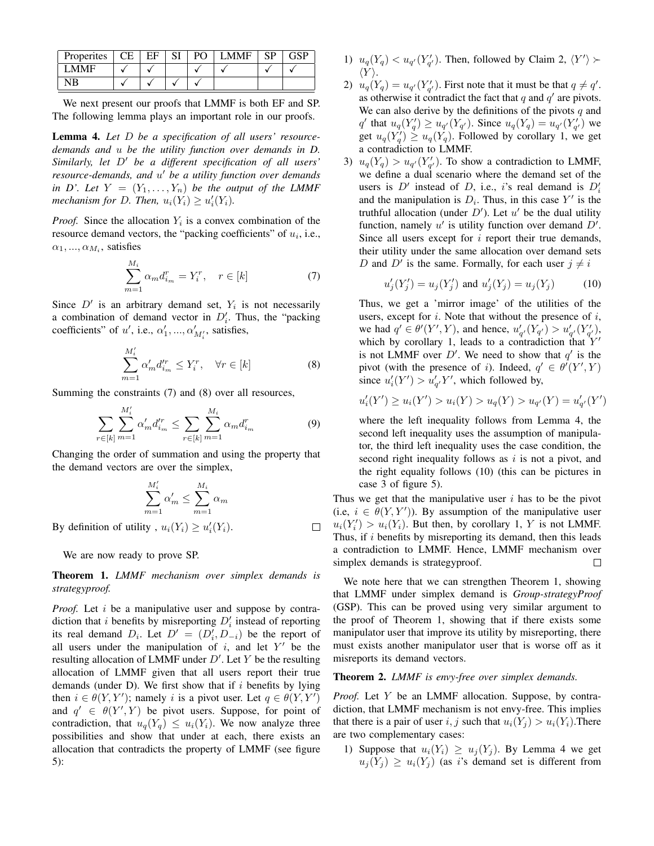| Properites | FF |  | CD |  |
|------------|----|--|----|--|
| <b>MME</b> |    |  |    |  |
|            |    |  |    |  |

We next present our proofs that LMMF is both EF and SP. The following lemma plays an important role in our proofs.

Lemma 4. *Let* D *be a specification of all users' resourcedemands and* u *be the utility function over demands in D.* Similarly, let  $D'$  be a different specification of all users' *resource-demands, and* u <sup>0</sup> *be a utility function over demands in D'. Let*  $Y = (Y_1, \ldots, Y_n)$  *be the output of the LMMF mechanism for D. Then,*  $u_i(Y_i) \geq u'_i(Y_i)$ .

*Proof.* Since the allocation  $Y_i$  is a convex combination of the resource demand vectors, the "packing coefficients" of  $u_i$ , i.e.,  $\alpha_1, ..., \alpha_{M_i}$ , satisfies

$$
\sum_{m=1}^{M_i} \alpha_m d_{i_m}^r = Y_i^r, \quad r \in [k]
$$
 (7)

Since  $D'$  is an arbitrary demand set,  $Y_i$  is not necessarily a combination of demand vector in  $D'_i$ . Thus, the "packing coefficients" of u', i.e.,  $\alpha'_1, ..., \alpha'_{M'_i}$ , satisfies,

$$
\sum_{m=1}^{M'_i} \alpha'_m d'^r_{i_m} \le Y^r_i, \quad \forall r \in [k]
$$
 (8)

Summing the constraints (7) and (8) over all resources,

$$
\sum_{r \in [k]} \sum_{m=1}^{M'_i} \alpha'_m d'^r_{i_m} \le \sum_{r \in [k]} \sum_{m=1}^{M_i} \alpha_m d^r_{i_m} \tag{9}
$$

 $\Box$ 

Changing the order of summation and using the property that the demand vectors are over the simplex,

$$
\sum_{m=1}^{M_i'} \alpha'_m \le \sum_{m=1}^{M_i} \alpha_m
$$

By definition of utility,  $u_i(Y_i) \ge u'_i(Y_i)$ .

We are now ready to prove SP.

Theorem 1. *LMMF mechanism over simplex demands is strategyproof.*

*Proof.* Let i be a manipulative user and suppose by contradiction that i benefits by misreporting  $D'_i$  instead of reporting its real demand  $D_i$ . Let  $D' = (D'_i, D_{-i})$  be the report of all users under the manipulation of  $i$ , and let  $Y'$  be the resulting allocation of LMMF under  $D'$ . Let Y be the resulting allocation of LMMF given that all users report their true demands (under D). We first show that if  $i$  benefits by lying then  $i \in \theta(Y, Y')$ ; namely i is a pivot user. Let  $q \in \theta(Y, Y')$ and  $q' \in \theta(Y', Y)$  be pivot users. Suppose, for point of contradiction, that  $u_q(Y_q) \leq u_i(Y_i)$ . We now analyze three possibilities and show that under at each, there exists an allocation that contradicts the property of LMMF (see figure 5):

- 1)  $u_q(Y_q) < u_{q'}(Y'_{q'})$ . Then, followed by Claim 2,  $\langle Y' \rangle$  >  $\langle Y \rangle$ .
- 2)  $u_q(Y_q) = u_{q'}(Y'_{q'})$ . First note that it must be that  $q \neq q'$ . as otherwise it contradict the fact that  $q$  and  $q'$  are pivots. We can also derive by the definitions of the pivots  $q$  and q' that  $u_q(Y'_q) \ge u_{q'}(Y_{q'})$ . Since  $u_q(Y_q) = u_{q'}(Y'_{q'})$  we get  $u_q(Y_q') \geq u_q(Y_q)$ . Followed by corollary 1, we get a contradiction to LMMF.
- 3)  $u_q(Y_q) > u_{q'}(Y'_{q'})$ . To show a contradiction to LMMF, we define a dual scenario where the demand set of the users is  $D'$  instead of D, i.e., i's real demand is  $D'_i$ and the manipulation is  $D_i$ . Thus, in this case Y' is the truthful allocation (under  $D'$ ). Let  $u'$  be the dual utility function, namely  $u'$  is utility function over demand  $D'$ . Since all users except for  $i$  report their true demands, their utility under the same allocation over demand sets D and D' is the same. Formally, for each user  $j \neq i$

$$
u'_{j}(Y'_{j}) = u_{j}(Y'_{j}) \text{ and } u'_{j}(Y_{j}) = u_{j}(Y_{j})
$$
 (10)

Thus, we get a 'mirror image' of the utilities of the users, except for  $i$ . Note that without the presence of  $i$ , we had  $q' \in \theta'(Y', Y)$ , and hence,  $u'_{q'}(Y_{q'}) > u'_{q'}(Y'_{q'})$ , which by corollary 1, leads to a contradiction that  $Y'$ is not LMMF over  $D'$ . We need to show that  $q'$  is the pivot (with the presence of i). Indeed,  $q' \in \theta'(Y', Y)$ since  $u'_{i}(Y') > u'_{q'}Y'$ , which followed by,

$$
u'_{i}(Y') \ge u_{i}(Y') > u_{i}(Y) > u_{q}(Y) > u_{q'}(Y) = u'_{q'}(Y')
$$

where the left inequality follows from Lemma 4, the second left inequality uses the assumption of manipulator, the third left inequality uses the case condition, the second right inequality follows as  $i$  is not a pivot, and the right equality follows (10) (this can be pictures in case 3 of figure 5).

Thus we get that the manipulative user  $i$  has to be the pivot (i.e,  $i \in \theta(Y, Y')$ ). By assumption of the manipulative user  $u_i(Y_i') > u_i(Y_i)$ . But then, by corollary 1, Y is not LMMF. Thus, if  $i$  benefits by misreporting its demand, then this leads a contradiction to LMMF. Hence, LMMF mechanism over simplex demands is strategyproof.  $\Box$ 

We note here that we can strengthen Theorem 1, showing that LMMF under simplex demand is *Group-strategyProof* (GSP). This can be proved using very similar argument to the proof of Theorem 1, showing that if there exists some manipulator user that improve its utility by misreporting, there must exists another manipulator user that is worse off as it misreports its demand vectors.

## Theorem 2. *LMMF is envy-free over simplex demands.*

*Proof.* Let Y be an LMMF allocation. Suppose, by contradiction, that LMMF mechanism is not envy-free. This implies that there is a pair of user i, j such that  $u_i(Y_i) > u_i(Y_i)$ . There are two complementary cases:

1) Suppose that  $u_i(Y_i) \geq u_i(Y_i)$ . By Lemma 4 we get  $u_i(Y_i) \geq u_i(Y_i)$  (as i's demand set is different from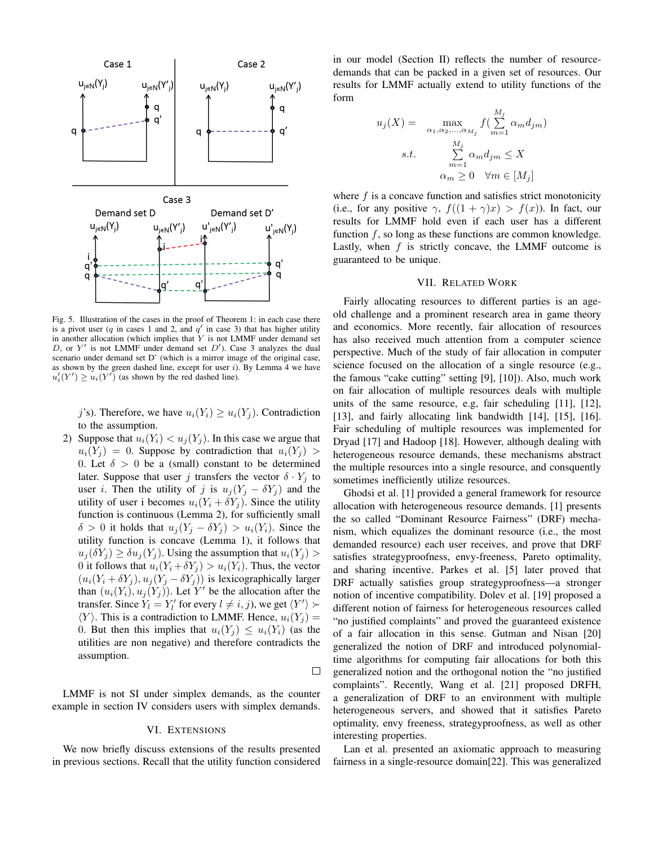

Fig. 5. Illustration of the cases in the proof of Theorem 1: in each case there is a pivot user (q in cases 1 and 2, and  $q'$  in case 3) that has higher utility in another allocation (which implies that  $Y$  is not LMMF under demand set D, or  $Y'$  is not LMMF under demand set  $D'$ ). Case 3 analyzes the dual scenario under demand set D' (which is a mirror image of the original case, as shown by the green dashed line, except for user  $i$ ). By Lemma  $\overline{4}$  we have  $u'_{i}(Y') \ge u_{i}(Y')$  (as shown by the red dashed line).

j's). Therefore, we have  $u_i(Y_i) \geq u_i(Y_j)$ . Contradiction to the assumption.

2) Suppose that  $u_i(Y_i) < u_j(Y_i)$ . In this case we argue that  $u_i(Y_i) = 0$ . Suppose by contradiction that  $u_i(Y_i)$ 0. Let  $\delta > 0$  be a (small) constant to be determined later. Suppose that user j transfers the vector  $\delta \cdot Y_i$  to user *i*. Then the utility of j is  $u_j(Y_j - \delta Y_j)$  and the utility of user i becomes  $u_i(Y_i + \delta Y_j)$ . Since the utility function is continuous (Lemma 2), for sufficiently small  $\delta > 0$  it holds that  $u_j(Y_j - \delta Y_j) > u_i(Y_i)$ . Since the utility function is concave (Lemma 1), it follows that  $u_i(\delta Y_i) \geq \delta u_i(Y_i)$ . Using the assumption that  $u_i(Y_i)$ 0 it follows that  $u_i(Y_i + \delta Y_j) > u_i(Y_i)$ . Thus, the vector  $(u_i(Y_i + \delta Y_j), u_j(Y_j - \delta Y_j))$  is lexicographically larger than  $(u_i(Y_i), u_j(Y_j))$ . Let Y' be the allocation after the transfer. Since  $Y_l = Y_l'$  for every  $l \neq i, j$ ), we get  $\langle Y' \rangle \succ$  $\langle Y \rangle$ . This is a contradiction to LMMF. Hence,  $u_i(Y_i)$  = 0. But then this implies that  $u_i(Y_i) \leq u_i(Y_i)$  (as the utilities are non negative) and therefore contradicts the assumption.

 $\Box$ 

LMMF is not SI under simplex demands, as the counter example in section IV considers users with simplex demands.

#### VI. EXTENSIONS

We now briefly discuss extensions of the results presented in previous sections. Recall that the utility function considered

in our model (Section II) reflects the number of resourcedemands that can be packed in a given set of resources. Our results for LMMF actually extend to utility functions of the form

$$
u_j(X) = \max_{\alpha_1, \alpha_2, \dots, \alpha_{M_j}} f\left(\sum_{m=1}^{M_j} \alpha_m d_{jm}\right)
$$
  
s.t. 
$$
\sum_{m=1}^{M_j} \alpha_m d_{jm} \le X
$$

$$
\alpha_m \ge 0 \quad \forall m \in [M_j]
$$

where  $f$  is a concave function and satisfies strict monotonicity (i.e., for any positive  $\gamma$ ,  $f((1 + \gamma)x) > f(x)$ ). In fact, our results for LMMF hold even if each user has a different function  $f$ , so long as these functions are common knowledge. Lastly, when  $f$  is strictly concave, the LMMF outcome is guaranteed to be unique.

# VII. RELATED WORK

Fairly allocating resources to different parties is an ageold challenge and a prominent research area in game theory and economics. More recently, fair allocation of resources has also received much attention from a computer science perspective. Much of the study of fair allocation in computer science focused on the allocation of a single resource (e.g., the famous "cake cutting" setting [9], [10]). Also, much work on fair allocation of multiple resources deals with multiple units of the same resource, e.g, fair scheduling [11], [12], [13], and fairly allocating link bandwidth [14], [15], [16]. Fair scheduling of multiple resources was implemented for Dryad [17] and Hadoop [18]. However, although dealing with heterogeneous resource demands, these mechanisms abstract the multiple resources into a single resource, and consquently sometimes inefficiently utilize resources.

Ghodsi et al. [1] provided a general framework for resource allocation with heterogeneous resource demands. [1] presents the so called "Dominant Resource Fairness" (DRF) mechanism, which equalizes the dominant resource (i.e., the most demanded resource) each user receives, and prove that DRF satisfies strategyproofness, envy-freeness, Pareto optimality, and sharing incentive. Parkes et al. [5] later proved that DRF actually satisfies group strategyproofness—a stronger notion of incentive compatibility. Dolev et al. [19] proposed a different notion of fairness for heterogeneous resources called "no justified complaints" and proved the guaranteed existence of a fair allocation in this sense. Gutman and Nisan [20] generalized the notion of DRF and introduced polynomialtime algorithms for computing fair allocations for both this generalized notion and the orthogonal notion the "no justified complaints". Recently, Wang et al. [21] proposed DRFH, a generalization of DRF to an environment with multiple heterogeneous servers, and showed that it satisfies Pareto optimality, envy freeness, strategyproofness, as well as other interesting properties.

Lan et al. presented an axiomatic approach to measuring fairness in a single-resource domain[22]. This was generalized